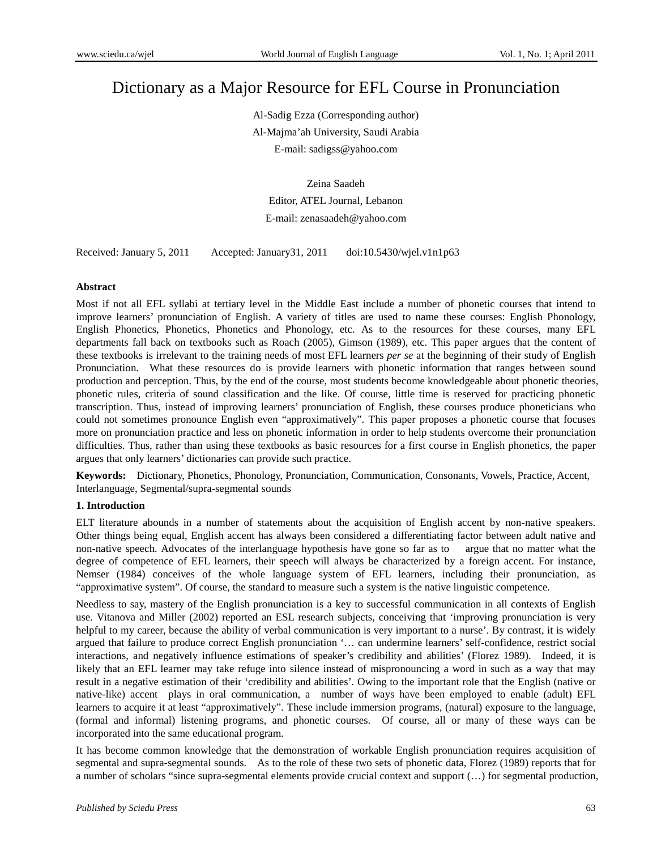# Dictionary as a Major Resource for EFL Course in Pronunciation

Al-Sadig Ezza (Corresponding author) Al-Majma'ah University, Saudi Arabia E-mail: sadigss@yahoo.com

Zeina Saadeh

Editor, ATEL Journal, Lebanon E-mail: zenasaadeh@yahoo.com

Received: January 5, 2011 Accepted: January 31, 2011 doi:10.5430/wjel.v1n1p63

## **Abstract**

Most if not all EFL syllabi at tertiary level in the Middle East include a number of phonetic courses that intend to improve learners' pronunciation of English. A variety of titles are used to name these courses: English Phonology, English Phonetics, Phonetics, Phonetics and Phonology, etc. As to the resources for these courses, many EFL departments fall back on textbooks such as Roach (2005), Gimson (1989), etc. This paper argues that the content of these textbooks is irrelevant to the training needs of most EFL learners *per se* at the beginning of their study of English Pronunciation. What these resources do is provide learners with phonetic information that ranges between sound production and perception. Thus, by the end of the course, most students become knowledgeable about phonetic theories, phonetic rules, criteria of sound classification and the like. Of course, little time is reserved for practicing phonetic transcription. Thus, instead of improving learners' pronunciation of English, these courses produce phoneticians who could not sometimes pronounce English even "approximatively". This paper proposes a phonetic course that focuses more on pronunciation practice and less on phonetic information in order to help students overcome their pronunciation difficulties. Thus, rather than using these textbooks as basic resources for a first course in English phonetics, the paper argues that only learners' dictionaries can provide such practice.

**Keywords:** Dictionary, Phonetics, Phonology, Pronunciation, Communication, Consonants, Vowels, Practice, Accent, Interlanguage, Segmental/supra-segmental sounds

# **1. Introduction**

ELT literature abounds in a number of statements about the acquisition of English accent by non-native speakers. Other things being equal, English accent has always been considered a differentiating factor between adult native and non-native speech. Advocates of the interlanguage hypothesis have gone so far as to argue that no matter what the degree of competence of EFL learners, their speech will always be characterized by a foreign accent. For instance, Nemser (1984) conceives of the whole language system of EFL learners, including their pronunciation, as "approximative system". Of course, the standard to measure such a system is the native linguistic competence.

Needless to say, mastery of the English pronunciation is a key to successful communication in all contexts of English use. Vitanova and Miller (2002) reported an ESL research subjects, conceiving that 'improving pronunciation is very helpful to my career, because the ability of verbal communication is very important to a nurse'. By contrast, it is widely argued that failure to produce correct English pronunciation '… can undermine learners' self-confidence, restrict social interactions, and negatively influence estimations of speaker's credibility and abilities' (Florez 1989). Indeed, it is likely that an EFL learner may take refuge into silence instead of mispronouncing a word in such as a way that may result in a negative estimation of their 'credibility and abilities'. Owing to the important role that the English (native or native-like) accent plays in oral communication, a number of ways have been employed to enable (adult) EFL learners to acquire it at least "approximatively". These include immersion programs, (natural) exposure to the language, (formal and informal) listening programs, and phonetic courses. Of course, all or many of these ways can be incorporated into the same educational program.

It has become common knowledge that the demonstration of workable English pronunciation requires acquisition of segmental and supra-segmental sounds. As to the role of these two sets of phonetic data, Florez (1989) reports that for a number of scholars "since supra-segmental elements provide crucial context and support (…) for segmental production,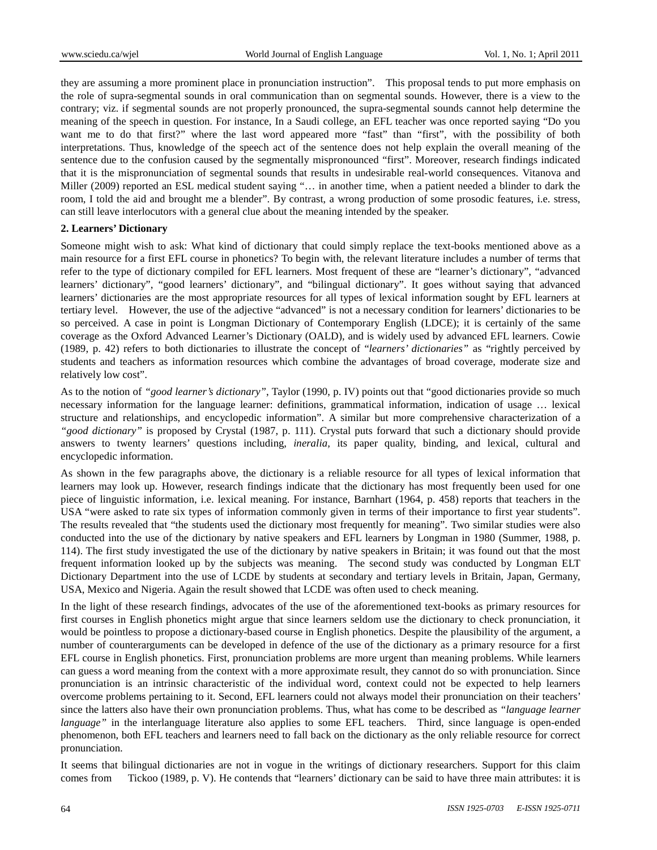they are assuming a more prominent place in pronunciation instruction". This proposal tends to put more emphasis on the role of supra-segmental sounds in oral communication than on segmental sounds. However, there is a view to the contrary; viz. if segmental sounds are not properly pronounced, the supra-segmental sounds cannot help determine the meaning of the speech in question. For instance, In a Saudi college, an EFL teacher was once reported saying "Do you want me to do that first?" where the last word appeared more "fast" than "first", with the possibility of both interpretations. Thus, knowledge of the speech act of the sentence does not help explain the overall meaning of the sentence due to the confusion caused by the segmentally mispronounced "first". Moreover, research findings indicated that it is the mispronunciation of segmental sounds that results in undesirable real-world consequences. Vitanova and Miller (2009) reported an ESL medical student saying "… in another time, when a patient needed a blinder to dark the room, I told the aid and brought me a blender". By contrast, a wrong production of some prosodic features, i.e. stress, can still leave interlocutors with a general clue about the meaning intended by the speaker.

### **2. Learners' Dictionary**

Someone might wish to ask: What kind of dictionary that could simply replace the text-books mentioned above as a main resource for a first EFL course in phonetics? To begin with, the relevant literature includes a number of terms that refer to the type of dictionary compiled for EFL learners. Most frequent of these are "learner's dictionary", "advanced learners' dictionary", "good learners' dictionary", and "bilingual dictionary". It goes without saying that advanced learners' dictionaries are the most appropriate resources for all types of lexical information sought by EFL learners at tertiary level. However, the use of the adjective "advanced" is not a necessary condition for learners' dictionaries to be so perceived. A case in point is Longman Dictionary of Contemporary English (LDCE); it is certainly of the same coverage as the Oxford Advanced Learner's Dictionary (OALD), and is widely used by advanced EFL learners. Cowie (1989, p. 42) refers to both dictionaries to illustrate the concept of "*learners' dictionaries"* as "rightly perceived by students and teachers as information resources which combine the advantages of broad coverage, moderate size and relatively low cost".

As to the notion of *"good learner's dictionary"*, Taylor (1990, p. IV) points out that "good dictionaries provide so much necessary information for the language learner: definitions, grammatical information, indication of usage … lexical structure and relationships, and encyclopedic information". A similar but more comprehensive characterization of a *"good dictionary"* is proposed by Crystal (1987, p. 111). Crystal puts forward that such a dictionary should provide answers to twenty learners' questions including, *ineralia,* its paper quality, binding, and lexical, cultural and encyclopedic information.

As shown in the few paragraphs above, the dictionary is a reliable resource for all types of lexical information that learners may look up. However, research findings indicate that the dictionary has most frequently been used for one piece of linguistic information, i.e. lexical meaning. For instance, Barnhart (1964, p. 458) reports that teachers in the USA "were asked to rate six types of information commonly given in terms of their importance to first year students". The results revealed that "the students used the dictionary most frequently for meaning". Two similar studies were also conducted into the use of the dictionary by native speakers and EFL learners by Longman in 1980 (Summer, 1988, p. 114). The first study investigated the use of the dictionary by native speakers in Britain; it was found out that the most frequent information looked up by the subjects was meaning. The second study was conducted by Longman ELT Dictionary Department into the use of LCDE by students at secondary and tertiary levels in Britain, Japan, Germany, USA, Mexico and Nigeria. Again the result showed that LCDE was often used to check meaning.

In the light of these research findings, advocates of the use of the aforementioned text-books as primary resources for first courses in English phonetics might argue that since learners seldom use the dictionary to check pronunciation, it would be pointless to propose a dictionary-based course in English phonetics. Despite the plausibility of the argument, a number of counterarguments can be developed in defence of the use of the dictionary as a primary resource for a first EFL course in English phonetics. First, pronunciation problems are more urgent than meaning problems. While learners can guess a word meaning from the context with a more approximate result, they cannot do so with pronunciation. Since pronunciation is an intrinsic characteristic of the individual word, context could not be expected to help learners overcome problems pertaining to it. Second, EFL learners could not always model their pronunciation on their teachers' since the latters also have their own pronunciation problems. Thus, what has come to be described as *"language learner language*" in the interlanguage literature also applies to some EFL teachers. Third, since language is open-ended phenomenon, both EFL teachers and learners need to fall back on the dictionary as the only reliable resource for correct pronunciation.

It seems that bilingual dictionaries are not in vogue in the writings of dictionary researchers. Support for this claim comes from Tickoo (1989, p. V). He contends that "learners' dictionary can be said to have three main attributes: it is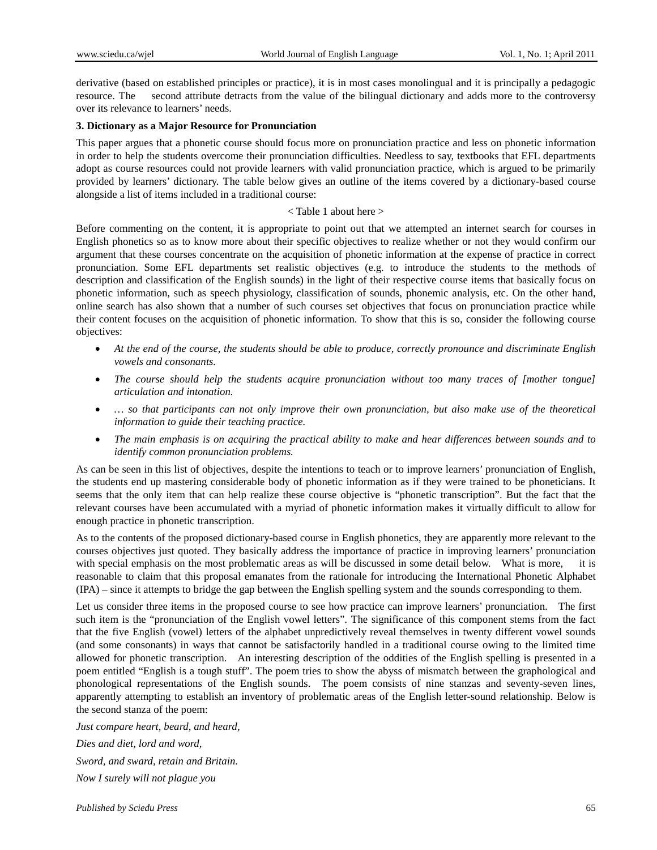derivative (based on established principles or practice), it is in most cases monolingual and it is principally a pedagogic resource. The second attribute detracts from the value of the bilingual dictionary and adds more to the controversy over its relevance to learners' needs.

### **3. Dictionary as a Major Resource for Pronunciation**

This paper argues that a phonetic course should focus more on pronunciation practice and less on phonetic information in order to help the students overcome their pronunciation difficulties. Needless to say, textbooks that EFL departments adopt as course resources could not provide learners with valid pronunciation practice, which is argued to be primarily provided by learners' dictionary. The table below gives an outline of the items covered by a dictionary-based course alongside a list of items included in a traditional course:

#### < Table 1 about here >

Before commenting on the content, it is appropriate to point out that we attempted an internet search for courses in English phonetics so as to know more about their specific objectives to realize whether or not they would confirm our argument that these courses concentrate on the acquisition of phonetic information at the expense of practice in correct pronunciation. Some EFL departments set realistic objectives (e.g. to introduce the students to the methods of description and classification of the English sounds) in the light of their respective course items that basically focus on phonetic information, such as speech physiology, classification of sounds, phonemic analysis, etc. On the other hand, online search has also shown that a number of such courses set objectives that focus on pronunciation practice while their content focuses on the acquisition of phonetic information. To show that this is so, consider the following course objectives:

- *At the end of the course, the students should be able to produce, correctly pronounce and discriminate English vowels and consonants.*
- *The course should help the students acquire pronunciation without too many traces of [mother tongue] articulation and intonation.*
- *… so that participants can not only improve their own pronunciation, but also make use of the theoretical information to guide their teaching practice.*
- *The main emphasis is on acquiring the practical ability to make and hear differences between sounds and to identify common pronunciation problems.*

As can be seen in this list of objectives, despite the intentions to teach or to improve learners' pronunciation of English, the students end up mastering considerable body of phonetic information as if they were trained to be phoneticians. It seems that the only item that can help realize these course objective is "phonetic transcription". But the fact that the relevant courses have been accumulated with a myriad of phonetic information makes it virtually difficult to allow for enough practice in phonetic transcription.

As to the contents of the proposed dictionary-based course in English phonetics, they are apparently more relevant to the courses objectives just quoted. They basically address the importance of practice in improving learners' pronunciation with special emphasis on the most problematic areas as will be discussed in some detail below. What is more, reasonable to claim that this proposal emanates from the rationale for introducing the International Phonetic Alphabet (IPA) – since it attempts to bridge the gap between the English spelling system and the sounds corresponding to them.

Let us consider three items in the proposed course to see how practice can improve learners' pronunciation. The first such item is the "pronunciation of the English vowel letters". The significance of this component stems from the fact that the five English (vowel) letters of the alphabet unpredictively reveal themselves in twenty different vowel sounds (and some consonants) in ways that cannot be satisfactorily handled in a traditional course owing to the limited time allowed for phonetic transcription. An interesting description of the oddities of the English spelling is presented in a poem entitled "English is a tough stuff". The poem tries to show the abyss of mismatch between the graphological and phonological representations of the English sounds. The poem consists of nine stanzas and seventy-seven lines, apparently attempting to establish an inventory of problematic areas of the English letter-sound relationship. Below is the second stanza of the poem:

*Just compare heart, beard, and heard, Dies and diet, lord and word, Sword, and sward, retain and Britain. Now I surely will not plague you*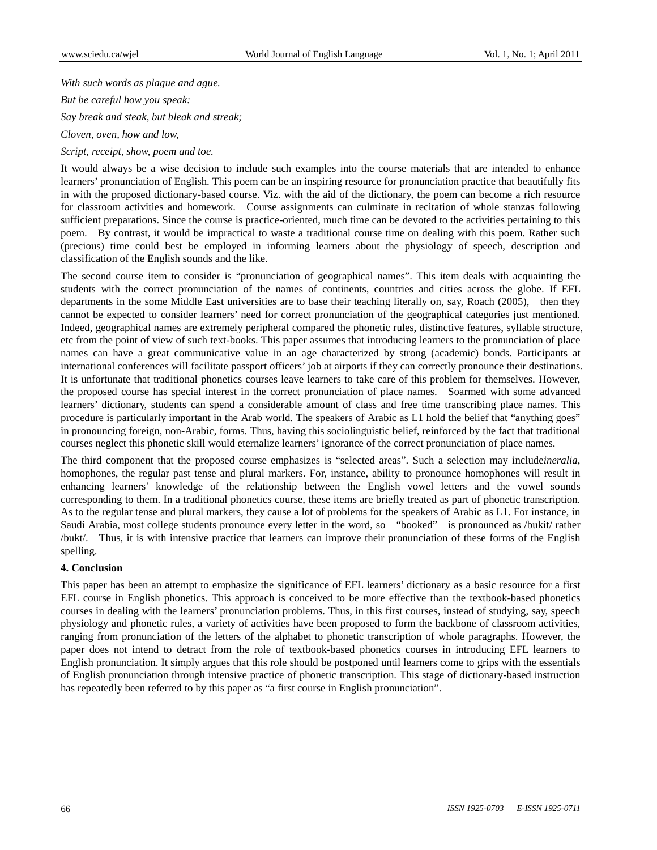*With such words as plague and ague.*

*But be careful how you speak:*

*Say break and steak, but bleak and streak;*

*Cloven, oven, how and low,*

*Script, receipt, show, poem and toe.*

It would always be a wise decision to include such examples into the course materials that are intended to enhance learners' pronunciation of English. This poem can be an inspiring resource for pronunciation practice that beautifully fits in with the proposed dictionary-based course. Viz. with the aid of the dictionary, the poem can become a rich resource for classroom activities and homework. Course assignments can culminate in recitation of whole stanzas following sufficient preparations. Since the course is practice-oriented, much time can be devoted to the activities pertaining to this poem. By contrast, it would be impractical to waste a traditional course time on dealing with this poem. Rather such (precious) time could best be employed in informing learners about the physiology of speech, description and classification of the English sounds and the like.

The second course item to consider is "pronunciation of geographical names". This item deals with acquainting the students with the correct pronunciation of the names of continents, countries and cities across the globe. If EFL departments in the some Middle East universities are to base their teaching literally on, say, Roach (2005), then they cannot be expected to consider learners' need for correct pronunciation of the geographical categories just mentioned. Indeed, geographical names are extremely peripheral compared the phonetic rules, distinctive features, syllable structure, etc from the point of view of such text-books. This paper assumes that introducing learners to the pronunciation of place names can have a great communicative value in an age characterized by strong (academic) bonds. Participants at international conferences will facilitate passport officers' job at airports if they can correctly pronounce their destinations. It is unfortunate that traditional phonetics courses leave learners to take care of this problem for themselves. However, the proposed course has special interest in the correct pronunciation of place names. Soarmed with some advanced learners' dictionary, students can spend a considerable amount of class and free time transcribing place names. This procedure is particularly important in the Arab world. The speakers of Arabic as L1 hold the belief that "anything goes" in pronouncing foreign, non-Arabic, forms. Thus, having this sociolinguistic belief, reinforced by the fact that traditional courses neglect this phonetic skill would eternalize learners' ignorance of the correct pronunciation of place names.

The third component that the proposed course emphasizes is "selected areas". Such a selection may include*ineralia*, homophones, the regular past tense and plural markers. For, instance, ability to pronounce homophones will result in enhancing learners' knowledge of the relationship between the English vowel letters and the vowel sounds corresponding to them. In a traditional phonetics course, these items are briefly treated as part of phonetic transcription. As to the regular tense and plural markers, they cause a lot of problems for the speakers of Arabic as L1. For instance, in Saudi Arabia, most college students pronounce every letter in the word, so "booked" is pronounced as /bukit/ rather /bukt/. Thus, it is with intensive practice that learners can improve their pronunciation of these forms of the English spelling.

### **4. Conclusion**

This paper has been an attempt to emphasize the significance of EFL learners' dictionary as a basic resource for a first EFL course in English phonetics. This approach is conceived to be more effective than the textbook-based phonetics courses in dealing with the learners' pronunciation problems. Thus, in this first courses, instead of studying, say, speech physiology and phonetic rules, a variety of activities have been proposed to form the backbone of classroom activities, ranging from pronunciation of the letters of the alphabet to phonetic transcription of whole paragraphs. However, the paper does not intend to detract from the role of textbook-based phonetics courses in introducing EFL learners to English pronunciation. It simply argues that this role should be postponed until learners come to grips with the essentials of English pronunciation through intensive practice of phonetic transcription. This stage of dictionary-based instruction has repeatedly been referred to by this paper as "a first course in English pronunciation".